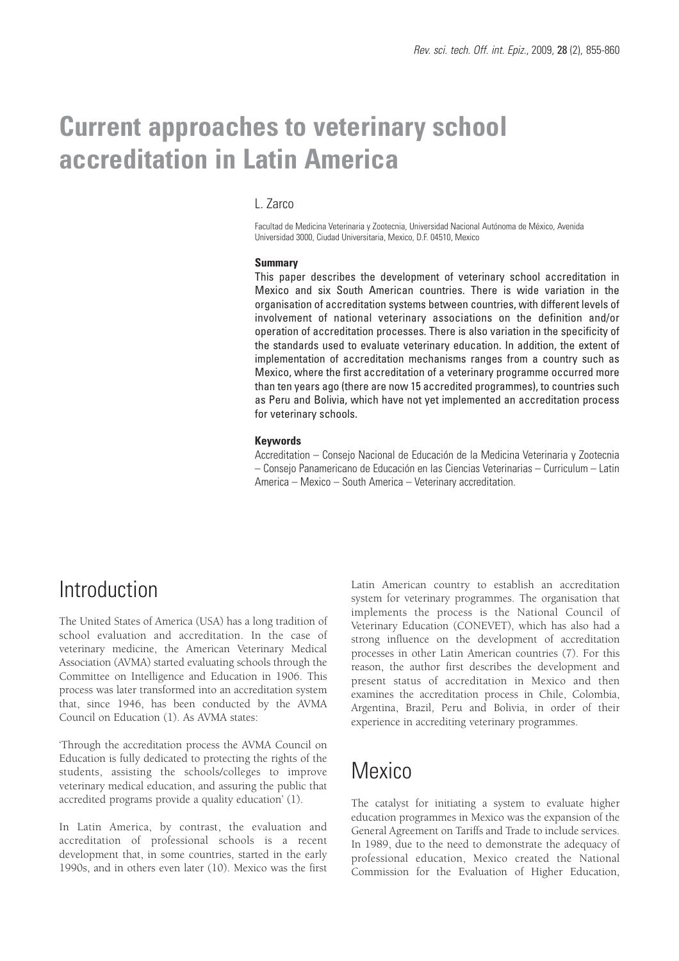# **Current approaches to veterinary school accreditation in Latin America**

### L. Zarco

Facultad de Medicina Veterinaria y Zootecnia, Universidad Nacional Autónoma de México, Avenida Universidad 3000, Ciudad Universitaria, Mexico, D.F. 04510, Mexico

#### **Summary**

This paper describes the development of veterinary school accreditation in Mexico and six South American countries. There is wide variation in the organisation of accreditation systems between countries, with different levels of involvement of national veterinary associations on the definition and/or operation of accreditation processes. There is also variation in the specificity of the standards used to evaluate veterinary education. In addition, the extent of implementation of accreditation mechanisms ranges from a country such as Mexico, where the first accreditation of a veterinary programme occurred more than ten years ago (there are now 15 accredited programmes), to countries such as Peru and Bolivia, which have not yet implemented an accreditation process for veterinary schools.

#### **Keywords**

Accreditation – Consejo Nacional de Educación de la Medicina Veterinaria y Zootecnia – Consejo Panamericano de Educación en las Ciencias Veterinarias – Curriculum – Latin America – Mexico – South America – Veterinary accreditation.

### Introduction

The United States of America (USA) has a long tradition of school evaluation and accreditation. In the case of veterinary medicine, the American Veterinary Medical Association (AVMA) started evaluating schools through the Committee on Intelligence and Education in 1906. This process was later transformed into an accreditation system that, since 1946, has been conducted by the AVMA Council on Education (1). As AVMA states:

'Through the accreditation process the AVMA Council on Education is fully dedicated to protecting the rights of the students, assisting the schools/colleges to improve veterinary medical education, and assuring the public that accredited programs provide a quality education' (1).

In Latin America, by contrast, the evaluation and accreditation of professional schools is a recent development that, in some countries, started in the early 1990s, and in others even later (10). Mexico was the first

Latin American country to establish an accreditation system for veterinary programmes. The organisation that implements the process is the National Council of Veterinary Education (CONEVET), which has also had a strong influence on the development of accreditation processes in other Latin American countries (7). For this reason, the author first describes the development and present status of accreditation in Mexico and then examines the accreditation process in Chile, Colombia, Argentina, Brazil, Peru and Bolivia, in order of their experience in accrediting veterinary programmes.

### **Mexico**

The catalyst for initiating a system to evaluate higher education programmes in Mexico was the expansion of the General Agreement on Tariffs and Trade to include services. In 1989, due to the need to demonstrate the adequacy of professional education, Mexico created the National Commission for the Evaluation of Higher Education,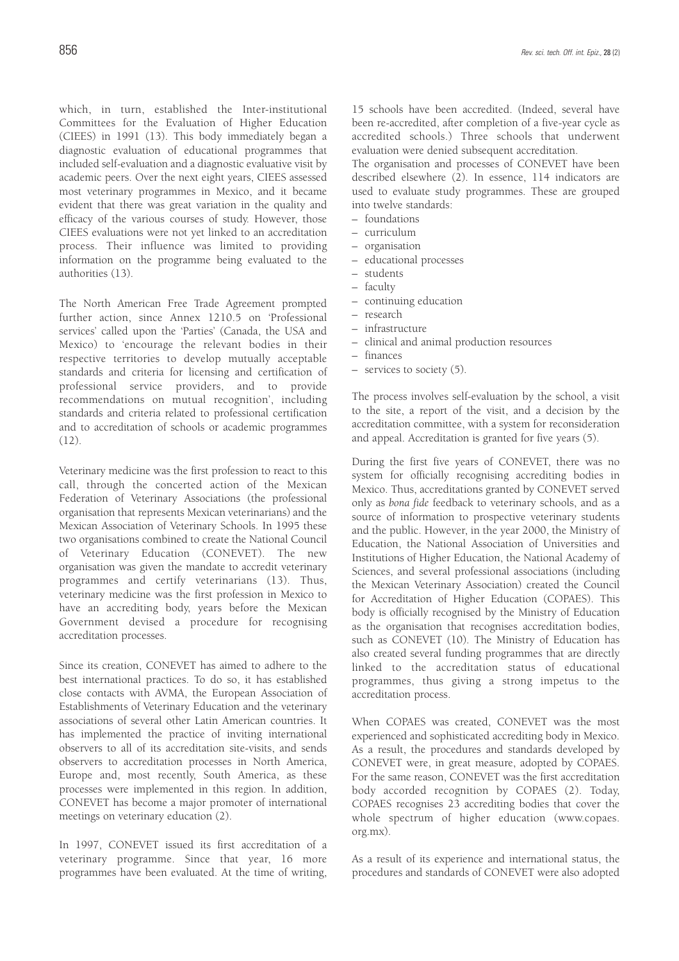which, in turn, established the Inter-institutional Committees for the Evaluation of Higher Education (CIEES) in 1991 (13). This body immediately began a diagnostic evaluation of educational programmes that included self-evaluation and a diagnostic evaluative visit by academic peers. Over the next eight years, CIEES assessed most veterinary programmes in Mexico, and it became evident that there was great variation in the quality and efficacy of the various courses of study. However, those CIEES evaluations were not yet linked to an accreditation process. Their influence was limited to providing information on the programme being evaluated to the authorities (13).

The North American Free Trade Agreement prompted further action, since Annex 1210.5 on 'Professional services' called upon the 'Parties' (Canada, the USA and Mexico) to 'encourage the relevant bodies in their respective territories to develop mutually acceptable standards and criteria for licensing and certification of professional service providers, and to provide recommendations on mutual recognition', including standards and criteria related to professional certification and to accreditation of schools or academic programmes (12).

Veterinary medicine was the first profession to react to this call, through the concerted action of the Mexican Federation of Veterinary Associations (the professional organisation that represents Mexican veterinarians) and the Mexican Association of Veterinary Schools. In 1995 these two organisations combined to create the National Council of Veterinary Education (CONEVET). The new organisation was given the mandate to accredit veterinary programmes and certify veterinarians (13). Thus, veterinary medicine was the first profession in Mexico to have an accrediting body, years before the Mexican Government devised a procedure for recognising accreditation processes.

Since its creation, CONEVET has aimed to adhere to the best international practices. To do so, it has established close contacts with AVMA, the European Association of Establishments of Veterinary Education and the veterinary associations of several other Latin American countries. It has implemented the practice of inviting international observers to all of its accreditation site-visits, and sends observers to accreditation processes in North America, Europe and, most recently, South America, as these processes were implemented in this region. In addition, CONEVET has become a major promoter of international meetings on veterinary education (2).

In 1997, CONEVET issued its first accreditation of a veterinary programme. Since that year, 16 more programmes have been evaluated. At the time of writing,

15 schools have been accredited. (Indeed, several have been re-accredited, after completion of a five-year cycle as accredited schools.) Three schools that underwent evaluation were denied subsequent accreditation.

The organisation and processes of CONEVET have been described elsewhere (2). In essence, 114 indicators are used to evaluate study programmes. These are grouped into twelve standards:

- foundations
- curriculum
- organisation
- educational processes
- students
- faculty
- continuing education
- research
- infrastructure
- clinical and animal production resources
- finances
- services to society (5).

The process involves self-evaluation by the school, a visit to the site, a report of the visit, and a decision by the accreditation committee, with a system for reconsideration and appeal. Accreditation is granted for five years (5).

During the first five years of CONEVET, there was no system for officially recognising accrediting bodies in Mexico. Thus, accreditations granted by CONEVET served only as *bona fide* feedback to veterinary schools, and as a source of information to prospective veterinary students and the public. However, in the year 2000, the Ministry of Education, the National Association of Universities and Institutions of Higher Education, the National Academy of Sciences, and several professional associations (including the Mexican Veterinary Association) created the Council for Accreditation of Higher Education (COPAES). This body is officially recognised by the Ministry of Education as the organisation that recognises accreditation bodies, such as CONEVET (10). The Ministry of Education has also created several funding programmes that are directly linked to the accreditation status of educational programmes, thus giving a strong impetus to the accreditation process.

When COPAES was created, CONEVET was the most experienced and sophisticated accrediting body in Mexico. As a result, the procedures and standards developed by CONEVET were, in great measure, adopted by COPAES. For the same reason, CONEVET was the first accreditation body accorded recognition by COPAES (2). Today, COPAES recognises 23 accrediting bodies that cover the whole spectrum of higher education (www.copaes. org.mx).

As a result of its experience and international status, the procedures and standards of CONEVET were also adopted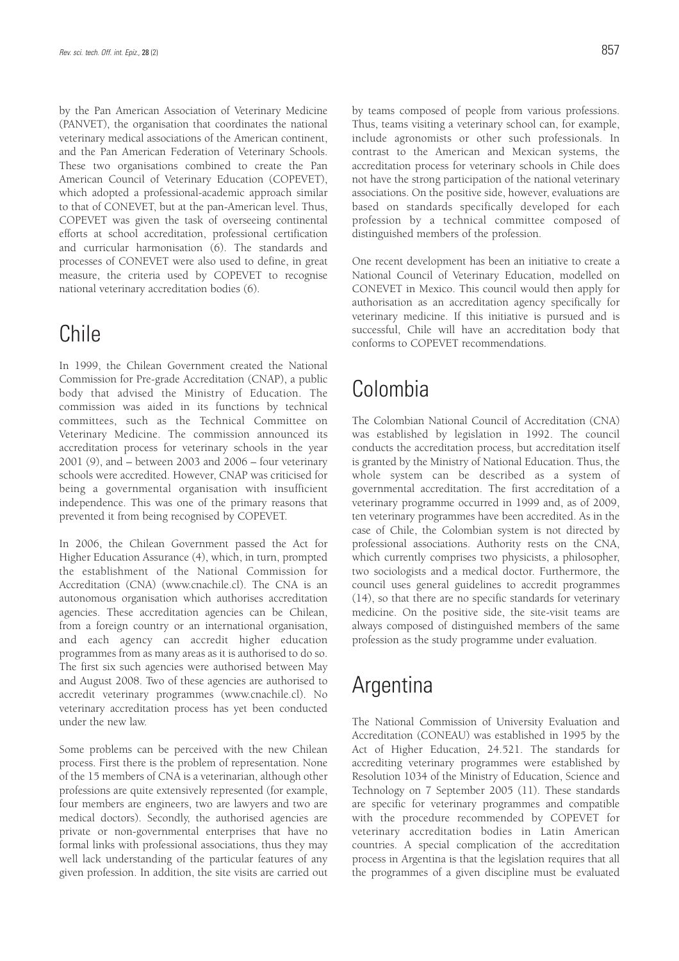by the Pan American Association of Veterinary Medicine (PANVET), the organisation that coordinates the national veterinary medical associations of the American continent, and the Pan American Federation of Veterinary Schools. These two organisations combined to create the Pan American Council of Veterinary Education (COPEVET), which adopted a professional-academic approach similar to that of CONEVET, but at the pan-American level. Thus, COPEVET was given the task of overseeing continental efforts at school accreditation, professional certification and curricular harmonisation (6). The standards and processes of CONEVET were also used to define, in great measure, the criteria used by COPEVET to recognise national veterinary accreditation bodies (6).

# Chile

In 1999, the Chilean Government created the National Commission for Pre-grade Accreditation (CNAP), a public body that advised the Ministry of Education. The commission was aided in its functions by technical committees, such as the Technical Committee on Veterinary Medicine. The commission announced its accreditation process for veterinary schools in the year 2001 (9), and – between 2003 and 2006 – four veterinary schools were accredited. However, CNAP was criticised for being a governmental organisation with insufficient independence. This was one of the primary reasons that prevented it from being recognised by COPEVET.

In 2006, the Chilean Government passed the Act for Higher Education Assurance (4), which, in turn, prompted the establishment of the National Commission for Accreditation (CNA) (www.cnachile.cl). The CNA is an autonomous organisation which authorises accreditation agencies. These accreditation agencies can be Chilean, from a foreign country or an international organisation, and each agency can accredit higher education programmes from as many areas as it is authorised to do so. The first six such agencies were authorised between May and August 2008. Two of these agencies are authorised to accredit veterinary programmes (www.cnachile.cl). No veterinary accreditation process has yet been conducted under the new law.

Some problems can be perceived with the new Chilean process. First there is the problem of representation. None of the 15 members of CNA is a veterinarian, although other professions are quite extensively represented (for example, four members are engineers, two are lawyers and two are medical doctors). Secondly, the authorised agencies are private or non-governmental enterprises that have no formal links with professional associations, thus they may well lack understanding of the particular features of any given profession. In addition, the site visits are carried out by teams composed of people from various professions. Thus, teams visiting a veterinary school can, for example, include agronomists or other such professionals. In contrast to the American and Mexican systems, the accreditation process for veterinary schools in Chile does not have the strong participation of the national veterinary associations. On the positive side, however, evaluations are based on standards specifically developed for each profession by a technical committee composed of distinguished members of the profession.

One recent development has been an initiative to create a National Council of Veterinary Education, modelled on CONEVET in Mexico. This council would then apply for authorisation as an accreditation agency specifically for veterinary medicine. If this initiative is pursued and is successful, Chile will have an accreditation body that conforms to COPEVET recommendations.

# Colombia

The Colombian National Council of Accreditation (CNA) was established by legislation in 1992. The council conducts the accreditation process, but accreditation itself is granted by the Ministry of National Education. Thus, the whole system can be described as a system of governmental accreditation. The first accreditation of a veterinary programme occurred in 1999 and, as of 2009, ten veterinary programmes have been accredited. As in the case of Chile, the Colombian system is not directed by professional associations. Authority rests on the CNA, which currently comprises two physicists, a philosopher, two sociologists and a medical doctor. Furthermore, the council uses general guidelines to accredit programmes (14), so that there are no specific standards for veterinary medicine. On the positive side, the site-visit teams are always composed of distinguished members of the same profession as the study programme under evaluation.

# Argentina

The National Commission of University Evaluation and Accreditation (CONEAU) was established in 1995 by the Act of Higher Education, 24.521. The standards for accrediting veterinary programmes were established by Resolution 1034 of the Ministry of Education, Science and Technology on 7 September 2005 (11). These standards are specific for veterinary programmes and compatible with the procedure recommended by COPEVET for veterinary accreditation bodies in Latin American countries. A special complication of the accreditation process in Argentina is that the legislation requires that all the programmes of a given discipline must be evaluated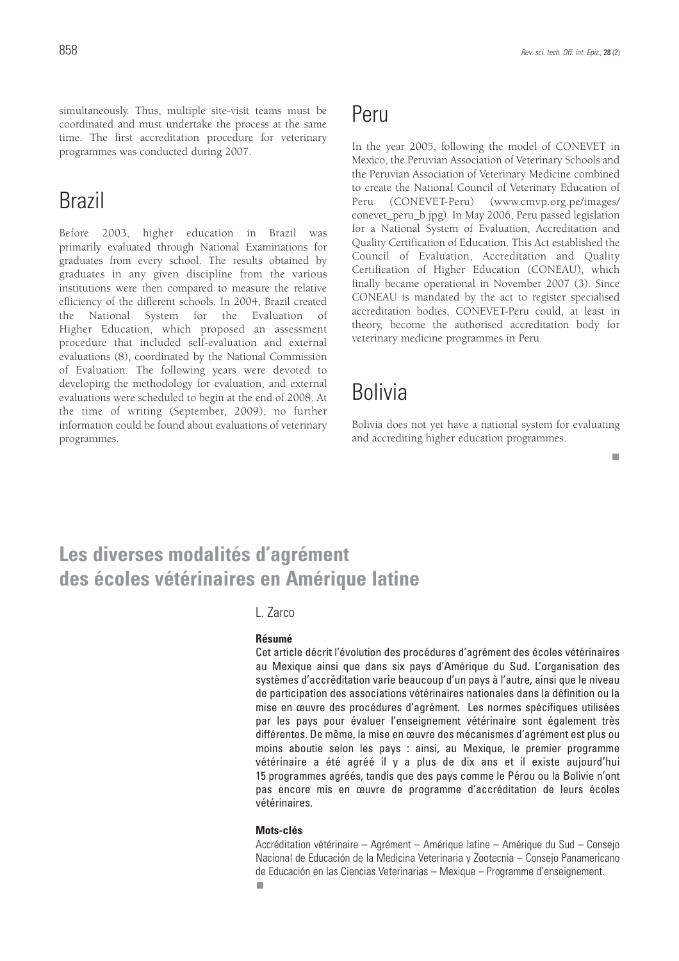$\mathbf{r}$ 

simultaneously. Thus, multiple site-visit teams must be coordinated and must undertake the process at the same time. The first accreditation procedure for veterinary programmes was conducted during 2007.

# Brazil

Before 2003, higher education in Brazil was primarily evaluated through National Examinations for graduates from every school. The results obtained by graduates in any given discipline from the various institutions were then compared to measure the relative efficiency of the different schools. In 2004, Brazil created the National System for the Evaluation of Higher Education, which proposed an assessment procedure that included self-evaluation and external evaluations (8), coordinated by the National Commission of Evaluation. The following years were devoted to developing the methodology for evaluation, and external evaluations were scheduled to begin at the end of 2008. At the time of writing (September, 2009), no further information could be found about evaluations of veterinary programmes.

### Peru

In the year 2005, following the model of CONEVET in Mexico, the Peruvian Association of Veterinary Schools and the Peruvian Association of Veterinary Medicine combined to create the National Council of Veterinary Education of Peru (CONEVET-Peru) (www.cmvp.org.pe/images/ conevet\_peru\_b.jpg). In May 2006, Peru passed legislation for a National System of Evaluation, Accreditation and Quality Certification of Education. This Act established the Council of Evaluation, Accreditation and Quality Certification of Higher Education (CONEAU), which finally became operational in November 2007 (3). Since CONEAU is mandated by the act to register specialised accreditation bodies, CONEVET-Peru could, at least in theory, become the authorised accreditation body for veterinary medicine programmes in Peru.

# Bolivia

Bolivia does not yet have a national system for evaluating and accrediting higher education programmes.

### **Les diverses modalités d'agrément des écoles vétérinaires en Amérique latine**

### L. Zarco

#### **Résumé**

Cet article décrit l'évolution des procédures d'agrément des écoles vétérinaires au Mexique ainsi que dans six pays d'Amérique du Sud. L'organisation des systèmes d'accréditation varie beaucoup d'un pays à l'autre, ainsi que le niveau de participation des associations vétérinaires nationales dans la définition ou la mise en œuvre des procédures d'agrément. Les normes spécifiques utilisées par les pays pour évaluer l'enseignement vétérinaire sont également très différentes. De même, la mise en œuvre des mécanismes d'agrément est plus ou moins aboutie selon les pays : ainsi, au Mexique, le premier programme vétérinaire a été agréé il y a plus de dix ans et il existe aujourd'hui 15 programmes agréés, tandis que des pays comme le Pérou ou la Bolivie n'ont pas encore mis en œuvre de programme d'accréditation de leurs écoles vétérinaires.

### **Mots-clés**

Accréditation vétérinaire – Agrément – Amérique latine – Amérique du Sud – Consejo Nacional de Educación de la Medicina Veterinaria y Zootecnia – Consejo Panamericano de Educación en las Ciencias Veterinarias – Mexique – Programme d'enseignement.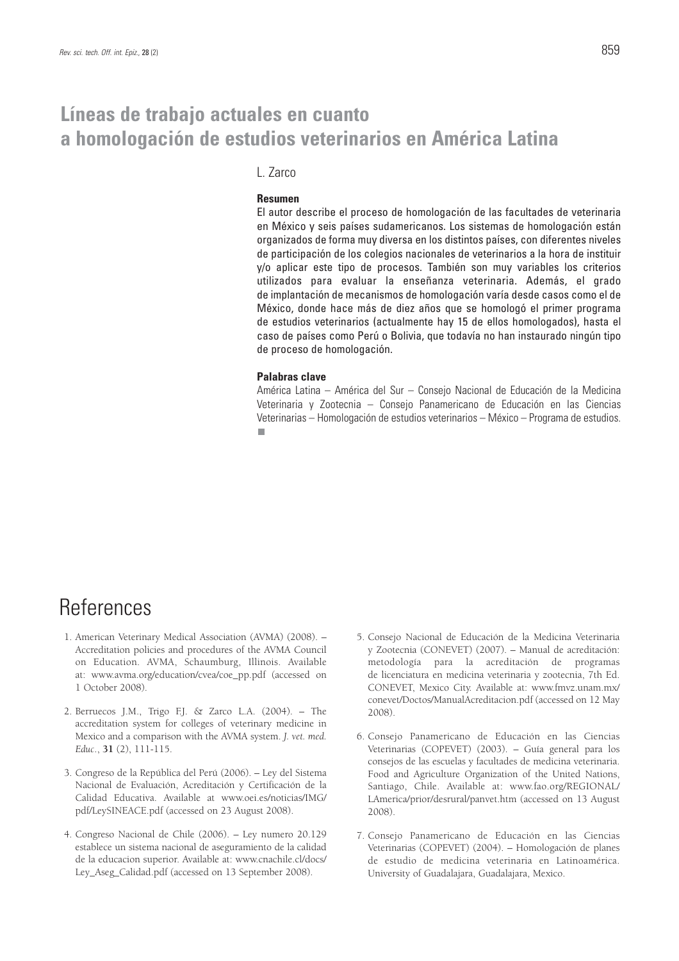### **Líneas de trabajo actuales en cuanto a homologación de estudios veterinarios en América Latina**

### L. Zarco

### **Resumen**

El autor describe el proceso de homologación de las facultades de veterinaria en México y seis países sudamericanos. Los sistemas de homologación están organizados de forma muy diversa en los distintos países, con diferentes niveles de participación de los colegios nacionales de veterinarios a la hora de instituir y/o aplicar este tipo de procesos. También son muy variables los criterios utilizados para evaluar la enseñanza veterinaria. Además, el grado de implantación de mecanismos de homologación varía desde casos como el de México, donde hace más de diez años que se homologó el primer programa de estudios veterinarios (actualmente hay 15 de ellos homologados), hasta el caso de países como Perú o Bolivia, que todavía no han instaurado ningún tipo de proceso de homologación.

#### **Palabras clave**

América Latina – América del Sur – Consejo Nacional de Educación de la Medicina Veterinaria y Zootecnia – Consejo Panamericano de Educación en las Ciencias Veterinarias – Homologación de estudios veterinarios – México – Programa de estudios.п

## References

- 1. American Veterinary Medical Association (AVMA) (2008). Accreditation policies and procedures of the AVMA Council on Education. AVMA, Schaumburg, Illinois. Available at: www.avma.org/education/cvea/coe\_pp.pdf (accessed on 1 October 2008).
- 2. Berruecos J.M., Trigo F.J. & Zarco L.A.  $(2004)$ . The accreditation system for colleges of veterinary medicine in Mexico and a comparison with the AVMA system. *J. vet. med. Educ*., **31** (2), 111-115.
- 3. Congreso de la República del Perú (2006). Ley del Sistema Nacional de Evaluación, Acreditación y Certificación de la Calidad Educativa. Available at www.oei.es/noticias/IMG/ pdf/LeySINEACE.pdf (accessed on 23 August 2008).
- 4. Congreso Nacional de Chile (2006). Ley numero 20.129 establece un sistema nacional de aseguramiento de la calidad de la educacion superior. Available at: www.cnachile.cl/docs/ Ley\_Aseg\_Calidad.pdf (accessed on 13 September 2008).
- 5. Consejo Nacional de Educación de la Medicina Veterinaria y Zootecnia (CONEVET) (2007). – Manual de acreditación: metodología para la acreditación de programas de licenciatura en medicina veterinaria y zootecnia, 7th Ed. CONEVET, Mexico City. Available at: www.fmvz.unam.mx/ conevet/Doctos/ManualAcreditacion.pdf (accessed on 12 May 2008).
- 6. Consejo Panamericano de Educación en las Ciencias Veterinarias (COPEVET) (2003). – Guía general para los consejos de las escuelas y facultades de medicina veterinaria. Food and Agriculture Organization of the United Nations, Santiago, Chile. Available at: www.fao.org/REGIONAL/ LAmerica/prior/desrural/panvet.htm (accessed on 13 August 2008).
- 7. Consejo Panamericano de Educación en las Ciencias Veterinarias (COPEVET) (2004). – Homologación de planes de estudio de medicina veterinaria en Latinoamérica. University of Guadalajara, Guadalajara, Mexico.